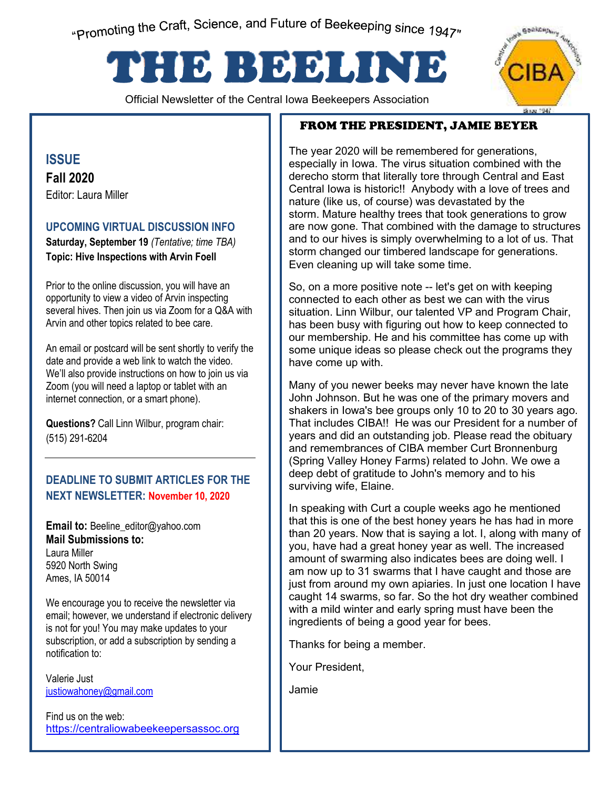"Promoting the Craft, Science, and Future of Beekeeping since 1947"

# THE BEELINE

Official Newsletter of the Central Iowa Beekeepers Association



1

# **ISSUE Fall 2020**

Editor: Laura Miller

#### **UPCOMING VIRTUAL DISCUSSION INFO**

**Saturday, September 19** *(Tentative; time TBA)* **Topic: Hive Inspections with Arvin Foell**

Prior to the online discussion, you will have an opportunity to view a video of Arvin inspecting several hives. Then join us via Zoom for a Q&A with Arvin and other topics related to bee care.

An email or postcard will be sent shortly to verify the date and provide a web link to watch the video. We'll also provide instructions on how to join us via Zoom (you will need a laptop or tablet with an internet connection, or a smart phone).

**Questions?** Call Linn Wilbur, program chair: (515) 291-6204

#### **DEADLINE TO SUBMIT ARTICLES FOR THE NEXT NEWSLETTER: November 10, 2020**

**Email to:** Beeline\_editor@yahoo.com **Mail Submissions to:**  Laura Miller 5920 North Swing Ames, IA 50014

We encourage you to receive the newsletter via email; however, we understand if electronic delivery is not for you! You may make updates to your subscription, or add a subscription by sending a notification to:

Valerie Just justiowahoney@gmail.com

Find us on the web: https://centraliowabeekeepersassoc.org

#### FROM THE PRESIDENT, JAMIE BEYER

The year 2020 will be remembered for generations, especially in Iowa. The virus situation combined with the derecho storm that literally tore through Central and East Central Iowa is historic!! Anybody with a love of trees and nature (like us, of course) was devastated by the storm. Mature healthy trees that took generations to grow are now gone. That combined with the damage to structures and to our hives is simply overwhelming to a lot of us. That storm changed our timbered landscape for generations. Even cleaning up will take some time.

So, on a more positive note -- let's get on with keeping connected to each other as best we can with the virus situation. Linn Wilbur, our talented VP and Program Chair, has been busy with figuring out how to keep connected to our membership. He and his committee has come up with some unique ideas so please check out the programs they have come up with.

Many of you newer beeks may never have known the late John Johnson. But he was one of the primary movers and shakers in Iowa's bee groups only 10 to 20 to 30 years ago. That includes CIBA!! He was our President for a number of years and did an outstanding job. Please read the obituary and remembrances of CIBA member Curt Bronnenburg (Spring Valley Honey Farms) related to John. We owe a deep debt of gratitude to John's memory and to his surviving wife, Elaine.

In speaking with Curt a couple weeks ago he mentioned that this is one of the best honey years he has had in more than 20 years. Now that is saying a lot. I, along with many of you, have had a great honey year as well. The increased amount of swarming also indicates bees are doing well. I am now up to 31 swarms that I have caught and those are just from around my own apiaries. In just one location I have caught 14 swarms, so far. So the hot dry weather combined with a mild winter and early spring must have been the ingredients of being a good year for bees.

Thanks for being a member.

Your President,

Jamie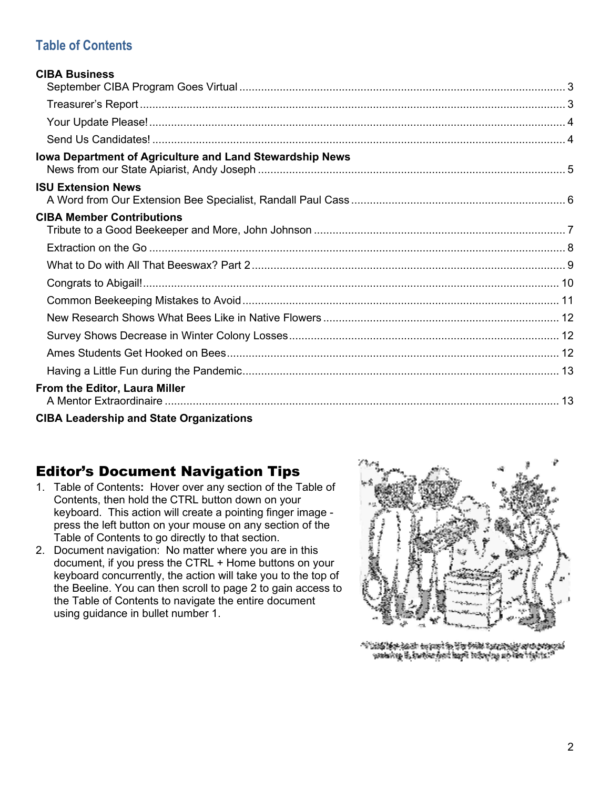# **Table of Contents**

| <b>CIBA Business</b>                                     |  |
|----------------------------------------------------------|--|
|                                                          |  |
|                                                          |  |
|                                                          |  |
| Iowa Department of Agriculture and Land Stewardship News |  |
| <b>ISU Extension News</b>                                |  |
| <b>CIBA Member Contributions</b>                         |  |
|                                                          |  |
|                                                          |  |
|                                                          |  |
|                                                          |  |
|                                                          |  |
|                                                          |  |
|                                                          |  |
|                                                          |  |
| From the Editor, Laura Miller                            |  |
| <b>CIBA Leadership and State Organizations</b>           |  |

### Editor's Document Navigation Tips

- 1. Table of Contents**:** Hover over any section of the Table of Contents, then hold the CTRL button down on your keyboard. This action will create a pointing finger image press the left button on your mouse on any section of the Table of Contents to go directly to that section.
- 2. Document navigation: No matter where you are in this document, if you press the CTRL + Home buttons on your keyboard concurrently, the action will take you to the top of the Beeline. You can then scroll to page 2 to gain access to the Table of Contents to navigate the entire document using guidance in bullet number 1.



તેમ પ્રોફોર્સ્ટ પ્રાપ્ય પૂર્ણ મુદ્દા પ્રદેશને સાર્વે જ વિશે કરે તે તે વારણ તો તે તે તે જોવા પ્રોફોર્સ્ટ <sup>પ્રા</sup>ર્<br><sup>6</sup> ડાર્ડ નિર્ફોર્સ કર્યો તે આ સુરક્ષિત જિલ્લો કિસ્તુઓ પ્રોફોર્સ્ટ ફિલ્મ સાર્વે કર્યું સુરક્ષિતનો સ્થાન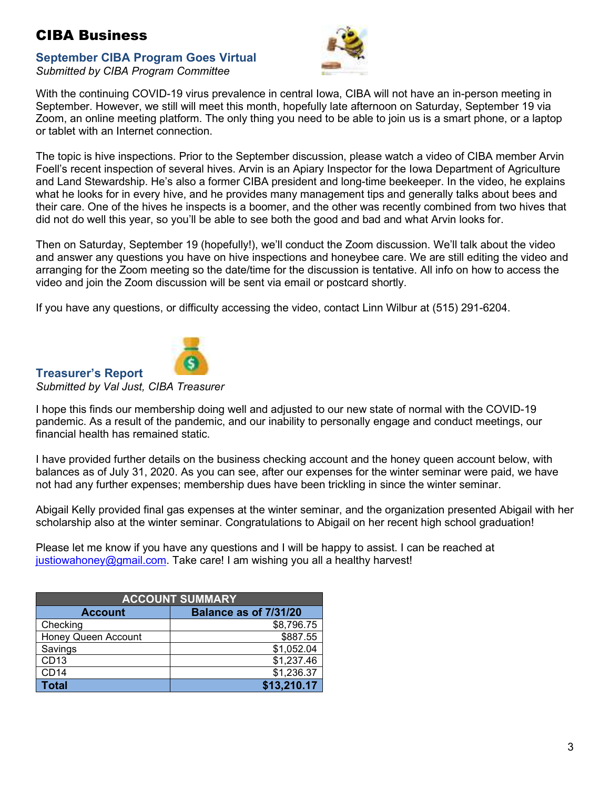# <span id="page-2-0"></span>CIBA Business

#### <span id="page-2-1"></span>**September CIBA Program Goes Virtual**  *Submitted by CIBA Program Committee*



With the continuing COVID-19 virus prevalence in central Iowa, CIBA will not have an in-person meeting in September. However, we still will meet this month, hopefully late afternoon on Saturday, September 19 via Zoom, an online meeting platform. The only thing you need to be able to join us is a smart phone, or a laptop or tablet with an Internet connection.

The topic is hive inspections. Prior to the September discussion, please watch a video of CIBA member Arvin Foell's recent inspection of several hives. Arvin is an Apiary Inspector for the Iowa Department of Agriculture and Land Stewardship. He's also a former CIBA president and long-time beekeeper. In the video, he explains what he looks for in every hive, and he provides many management tips and generally talks about bees and their care. One of the hives he inspects is a boomer, and the other was recently combined from two hives that did not do well this year, so you'll be able to see both the good and bad and what Arvin looks for.

Then on Saturday, September 19 (hopefully!), we'll conduct the Zoom discussion. We'll talk about the video and answer any questions you have on hive inspections and honeybee care. We are still editing the video and arranging for the Zoom meeting so the date/time for the discussion is tentative. All info on how to access the video and join the Zoom discussion will be sent via email or postcard shortly.

If you have any questions, or difficulty accessing the video, contact Linn Wilbur at (515) 291-6204.



<span id="page-2-2"></span>**Treasurer's Report** 

I hope this finds our membership doing well and adjusted to our new state of normal with the COVID-19 pandemic. As a result of the pandemic, and our inability to personally engage and conduct meetings, our financial health has remained static.

I have provided further details on the business checking account and the honey queen account below, with balances as of July 31, 2020. As you can see, after our expenses for the winter seminar were paid, we have not had any further expenses; membership dues have been trickling in since the winter seminar.

Abigail Kelly provided final gas expenses at the winter seminar, and the organization presented Abigail with her scholarship also at the winter seminar. Congratulations to Abigail on her recent high school graduation!

Please let me know if you have any questions and I will be happy to assist. I can be reached at justiowahoney@gmail.com. Take care! I am wishing you all a healthy harvest!

| <b>ACCOUNT SUMMARY</b> |                        |  |
|------------------------|------------------------|--|
| <b>Account</b>         | Balance as of 7/31/20  |  |
| Checking               | \$8,796.75             |  |
| Honey Queen Account    | \$887.55               |  |
| Savings                | \$1,052.04             |  |
| CD13                   | \$1,237.46             |  |
| CD14                   | $$1,236.\overline{37}$ |  |
| <b>Total</b>           | \$13,210.17            |  |

*Submitted by Val Just, CIBA Treasurer*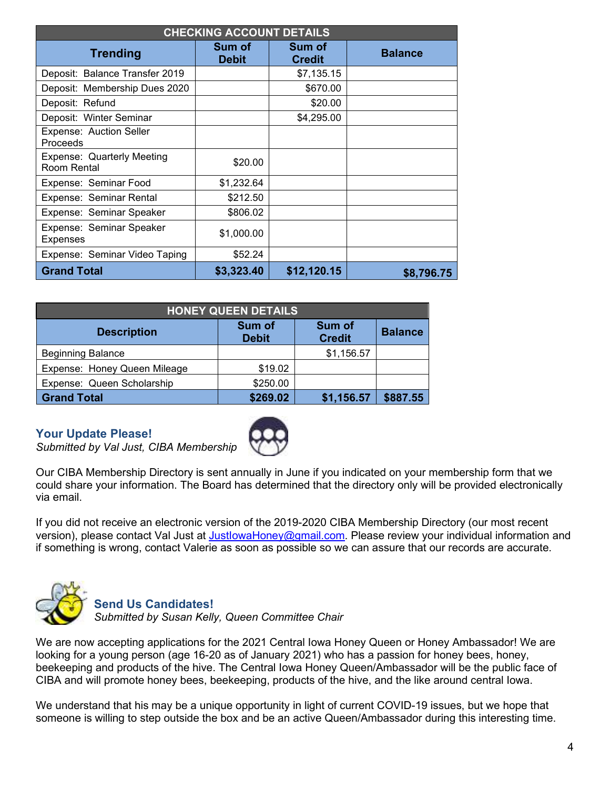| <b>CHECKING ACCOUNT DETAILS</b>                  |                        |                         |                |  |
|--------------------------------------------------|------------------------|-------------------------|----------------|--|
| <b>Trending</b>                                  | Sum of<br><b>Debit</b> | Sum of<br><b>Credit</b> | <b>Balance</b> |  |
| Deposit: Balance Transfer 2019                   |                        | \$7,135.15              |                |  |
| Deposit: Membership Dues 2020                    |                        | \$670.00                |                |  |
| Deposit: Refund                                  |                        | \$20.00                 |                |  |
| Deposit: Winter Seminar                          |                        | \$4,295.00              |                |  |
| Expense: Auction Seller<br>Proceeds              |                        |                         |                |  |
| <b>Expense: Quarterly Meeting</b><br>Room Rental | \$20.00                |                         |                |  |
| Expense: Seminar Food                            | \$1,232.64             |                         |                |  |
| Expense: Seminar Rental                          | \$212.50               |                         |                |  |
| Expense: Seminar Speaker                         | \$806.02               |                         |                |  |
| Expense: Seminar Speaker<br><b>Expenses</b>      | \$1,000.00             |                         |                |  |
| Expense: Seminar Video Taping                    | \$52.24                |                         |                |  |
| <b>Grand Total</b>                               | \$3,323.40             | \$12,120.15             | \$8,796.75     |  |

| <b>HONEY QUEEN DETAILS</b>   |                        |                         |                |  |
|------------------------------|------------------------|-------------------------|----------------|--|
| <b>Description</b>           | Sum of<br><b>Debit</b> | Sum of<br><b>Credit</b> | <b>Balance</b> |  |
| <b>Beginning Balance</b>     |                        | \$1,156.57              |                |  |
| Expense: Honey Queen Mileage | \$19.02                |                         |                |  |
| Expense: Queen Scholarship   | \$250.00               |                         |                |  |
| <b>Grand Total</b>           | \$269.02               | \$1,156.57              | \$887.55       |  |

#### <span id="page-3-0"></span>**Your Update Please!**

*Submitted by Val Just, CIBA Membership* 



Our CIBA Membership Directory is sent annually in June if you indicated on your membership form that we could share your information. The Board has determined that the directory only will be provided electronically via email.

If you did not receive an electronic version of the 2019-2020 CIBA Membership Directory (our most recent version), please contact Val Just at JustlowaHoney@gmail.com. Please review your individual information and if something is wrong, contact Valerie as soon as possible so we can assure that our records are accurate.



# <span id="page-3-1"></span>**Send Us Candidates!**

*Submitted by Susan Kelly, Queen Committee Chair* 

We are now accepting applications for the 2021 Central Iowa Honey Queen or Honey Ambassador! We are looking for a young person (age 16-20 as of January 2021) who has a passion for honey bees, honey, beekeeping and products of the hive. The Central Iowa Honey Queen/Ambassador will be the public face of CIBA and will promote honey bees, beekeeping, products of the hive, and the like around central Iowa.

We understand that his may be a unique opportunity in light of current COVID-19 issues, but we hope that someone is willing to step outside the box and be an active Queen/Ambassador during this interesting time.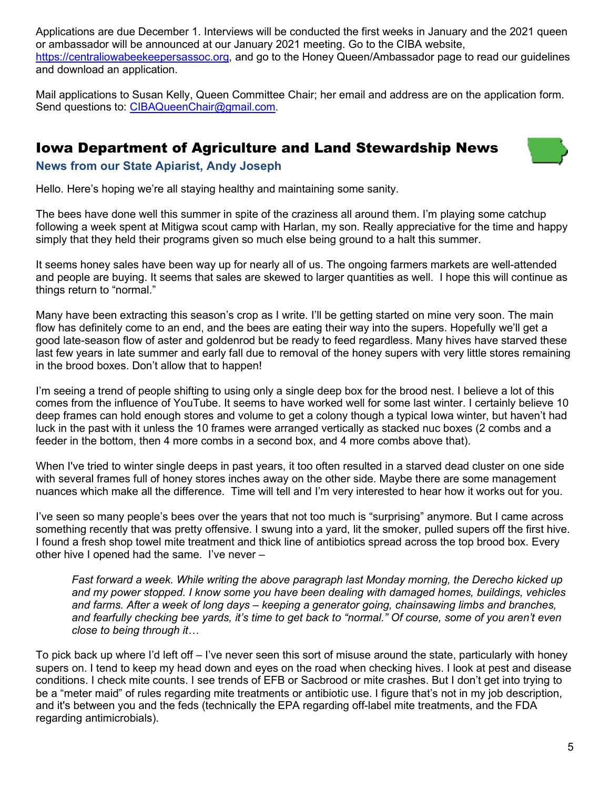Applications are due December 1. Interviews will be conducted the first weeks in January and the 2021 queen or ambassador will be announced at our January 2021 meeting. Go to the CIBA website, https://centraliowabeekeepersassoc.org, and go to the Honey Queen/Ambassador page to read our guidelines and download an application.

Mail applications to Susan Kelly, Queen Committee Chair; her email and address are on the application form. Send questions to: CIBAQueenChair@gmail.com.

# <span id="page-4-0"></span>Iowa Department of Agriculture and Land Stewardship News



#### <span id="page-4-1"></span>**News from our State Apiarist, Andy Joseph**

Hello. Here's hoping we're all staying healthy and maintaining some sanity.

The bees have done well this summer in spite of the craziness all around them. I'm playing some catchup following a week spent at Mitigwa scout camp with Harlan, my son. Really appreciative for the time and happy simply that they held their programs given so much else being ground to a halt this summer.

It seems honey sales have been way up for nearly all of us. The ongoing farmers markets are well-attended and people are buying. It seems that sales are skewed to larger quantities as well. I hope this will continue as things return to "normal."

Many have been extracting this season's crop as I write. I'll be getting started on mine very soon. The main flow has definitely come to an end, and the bees are eating their way into the supers. Hopefully we'll get a good late-season flow of aster and goldenrod but be ready to feed regardless. Many hives have starved these last few years in late summer and early fall due to removal of the honey supers with very little stores remaining in the brood boxes. Don't allow that to happen!

I'm seeing a trend of people shifting to using only a single deep box for the brood nest. I believe a lot of this comes from the influence of YouTube. It seems to have worked well for some last winter. I certainly believe 10 deep frames can hold enough stores and volume to get a colony though a typical Iowa winter, but haven't had luck in the past with it unless the 10 frames were arranged vertically as stacked nuc boxes (2 combs and a feeder in the bottom, then 4 more combs in a second box, and 4 more combs above that).

When I've tried to winter single deeps in past years, it too often resulted in a starved dead cluster on one side with several frames full of honey stores inches away on the other side. Maybe there are some management nuances which make all the difference. Time will tell and I'm very interested to hear how it works out for you.

I've seen so many people's bees over the years that not too much is "surprising" anymore. But I came across something recently that was pretty offensive. I swung into a yard, lit the smoker, pulled supers off the first hive. I found a fresh shop towel mite treatment and thick line of antibiotics spread across the top brood box. Every other hive I opened had the same. I've never –

*Fast forward a week. While writing the above paragraph last Monday morning, the Derecho kicked up and my power stopped. I know some you have been dealing with damaged homes, buildings, vehicles and farms. After a week of long days – keeping a generator going, chainsawing limbs and branches, and fearfully checking bee yards, it's time to get back to "normal." Of course, some of you aren't even close to being through it…* 

To pick back up where I'd left off – I've never seen this sort of misuse around the state, particularly with honey supers on. I tend to keep my head down and eyes on the road when checking hives. I look at pest and disease conditions. I check mite counts. I see trends of EFB or Sacbrood or mite crashes. But I don't get into trying to be a "meter maid" of rules regarding mite treatments or antibiotic use. I figure that's not in my job description, and it's between you and the feds (technically the EPA regarding off-label mite treatments, and the FDA regarding antimicrobials).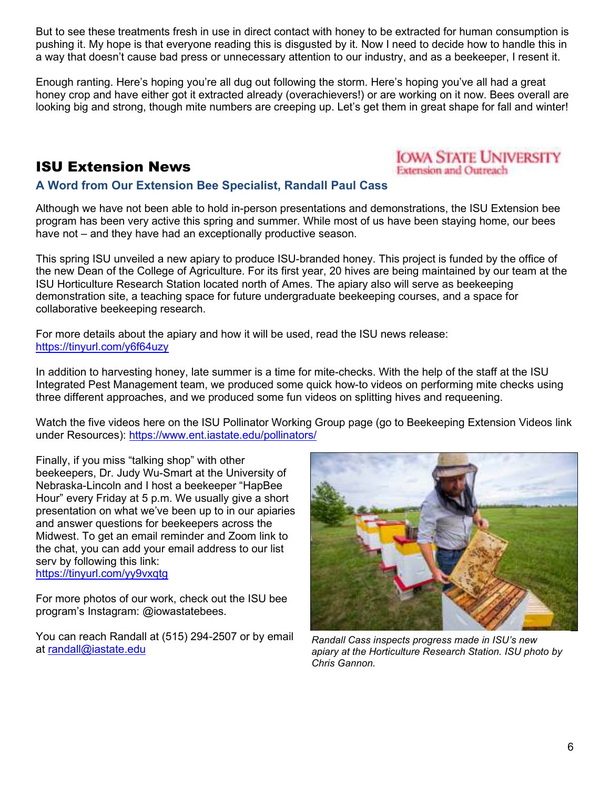But to see these treatments fresh in use in direct contact with honey to be extracted for human consumption is pushing it. My hope is that everyone reading this is disgusted by it. Now I need to decide how to handle this in a way that doesn't cause bad press or unnecessary attention to our industry, and as a beekeeper, I resent it.

Enough ranting. Here's hoping you're all dug out following the storm. Here's hoping you've all had a great honey crop and have either got it extracted already (overachievers!) or are working on it now. Bees overall are looking big and strong, though mite numbers are creeping up. Let's get them in great shape for fall and winter!

## <span id="page-5-0"></span>ISU Extension News

#### <span id="page-5-1"></span>**A Word from Our Extension Bee Specialist, Randall Paul Cass**

Although we have not been able to hold in-person presentations and demonstrations, the ISU Extension bee program has been very active this spring and summer. While most of us have been staying home, our bees have not – and they have had an exceptionally productive season.

This spring ISU unveiled a new apiary to produce ISU-branded honey. This project is funded by the office of the new Dean of the College of Agriculture. For its first year, 20 hives are being maintained by our team at the ISU Horticulture Research Station located north of Ames. The apiary also will serve as beekeeping demonstration site, a teaching space for future undergraduate beekeeping courses, and a space for collaborative beekeeping research.

For more details about the apiary and how it will be used, read the ISU news release: https://tinyurl.com/y6f64uzy

In addition to harvesting honey, late summer is a time for mite-checks. With the help of the staff at the ISU Integrated Pest Management team, we produced some quick how-to videos on performing mite checks using three different approaches, and we produced some fun videos on splitting hives and requeening.

Watch the five videos here on the ISU Pollinator Working Group page (go to Beekeeping Extension Videos link under Resources): https://www.ent.iastate.edu/pollinators/

Finally, if you miss "talking shop" with other beekeepers, Dr. Judy Wu-Smart at the University of Nebraska-Lincoln and I host a beekeeper "HapBee Hour" every Friday at 5 p.m. We usually give a short presentation on what we've been up to in our apiaries and answer questions for beekeepers across the Midwest. To get an email reminder and Zoom link to the chat, you can add your email address to our list serv by following this link: https://tinyurl.com/yy9vxqtg

For more photos of our work, check out the ISU bee program's Instagram: @iowastatebees.

You can reach Randall at (515) 294-2507 or by email at randall@iastate.edu



*Randall Cass inspects progress made in ISU's new apiary at the Horticulture Research Station. ISU photo by Chris Gannon.*

**IOWA STATE UNIVERSITY Extension and Outreach**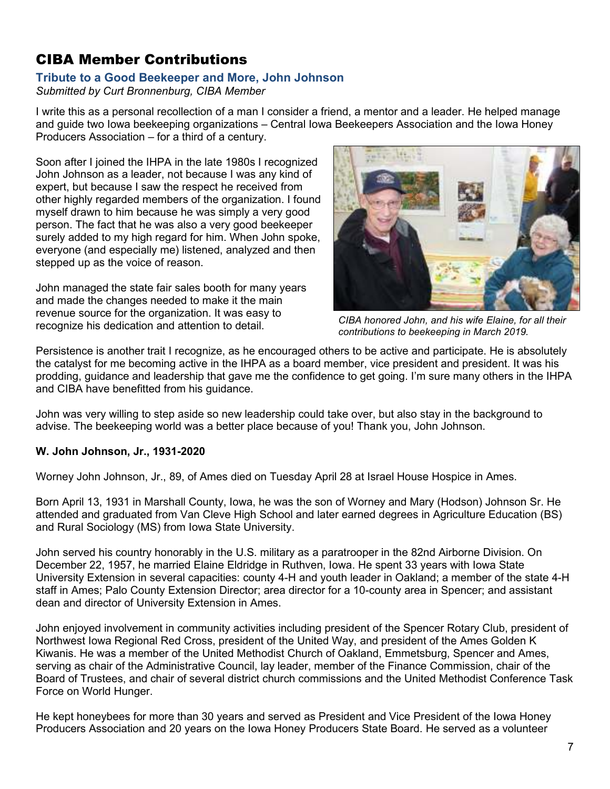# <span id="page-6-0"></span>CIBA Member Contributions

#### <span id="page-6-1"></span>**Tribute to a Good Beekeeper and More, John Johnson**

*Submitted by Curt Bronnenburg, CIBA Member* 

I write this as a personal recollection of a man I consider a friend, a mentor and a leader. He helped manage and guide two Iowa beekeeping organizations – Central Iowa Beekeepers Association and the Iowa Honey Producers Association – for a third of a century.

Soon after I joined the IHPA in the late 1980s I recognized John Johnson as a leader, not because I was any kind of expert, but because I saw the respect he received from other highly regarded members of the organization. I found myself drawn to him because he was simply a very good person. The fact that he was also a very good beekeeper surely added to my high regard for him. When John spoke, everyone (and especially me) listened, analyzed and then stepped up as the voice of reason.

John managed the state fair sales booth for many years and made the changes needed to make it the main revenue source for the organization. It was easy to recognize his dedication and attention to detail.



*CIBA honored John, and his wife Elaine, for all their contributions to beekeeping in March 2019.* 

Persistence is another trait I recognize, as he encouraged others to be active and participate. He is absolutely the catalyst for me becoming active in the IHPA as a board member, vice president and president. It was his prodding, guidance and leadership that gave me the confidence to get going. I'm sure many others in the IHPA and CIBA have benefitted from his guidance.

John was very willing to step aside so new leadership could take over, but also stay in the background to advise. The beekeeping world was a better place because of you! Thank you, John Johnson.

#### **W. John Johnson, Jr., 1931-2020**

Worney John Johnson, Jr., 89, of Ames died on Tuesday April 28 at Israel House Hospice in Ames.

Born April 13, 1931 in Marshall County, Iowa, he was the son of Worney and Mary (Hodson) Johnson Sr. He attended and graduated from Van Cleve High School and later earned degrees in Agriculture Education (BS) and Rural Sociology (MS) from Iowa State University.

John served his country honorably in the U.S. military as a paratrooper in the 82nd Airborne Division. On December 22, 1957, he married Elaine Eldridge in Ruthven, Iowa. He spent 33 years with Iowa State University Extension in several capacities: county 4-H and youth leader in Oakland; a member of the state 4-H staff in Ames; Palo County Extension Director; area director for a 10-county area in Spencer; and assistant dean and director of University Extension in Ames.

John enjoyed involvement in community activities including president of the Spencer Rotary Club, president of Northwest Iowa Regional Red Cross, president of the United Way, and president of the Ames Golden K Kiwanis. He was a member of the United Methodist Church of Oakland, Emmetsburg, Spencer and Ames, serving as chair of the Administrative Council, lay leader, member of the Finance Commission, chair of the Board of Trustees, and chair of several district church commissions and the United Methodist Conference Task Force on World Hunger.

He kept honeybees for more than 30 years and served as President and Vice President of the Iowa Honey Producers Association and 20 years on the Iowa Honey Producers State Board. He served as a volunteer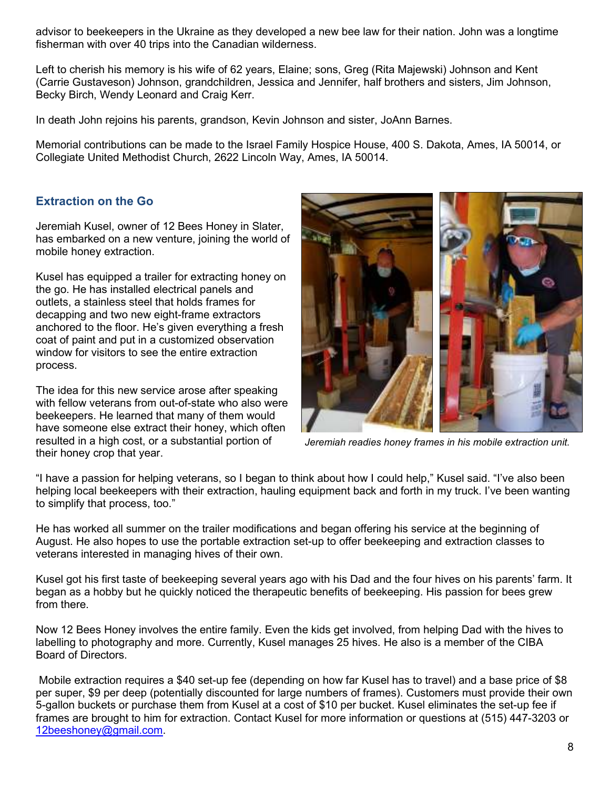advisor to beekeepers in the Ukraine as they developed a new bee law for their nation. John was a longtime fisherman with over 40 trips into the Canadian wilderness.

Left to cherish his memory is his wife of 62 years, Elaine; sons, Greg (Rita Majewski) Johnson and Kent (Carrie Gustaveson) Johnson, grandchildren, Jessica and Jennifer, half brothers and sisters, Jim Johnson, Becky Birch, Wendy Leonard and Craig Kerr.

In death John rejoins his parents, grandson, Kevin Johnson and sister, JoAnn Barnes.

Memorial contributions can be made to the Israel Family Hospice House, 400 S. Dakota, Ames, IA 50014, or Collegiate United Methodist Church, 2622 Lincoln Way, Ames, IA 50014.

#### <span id="page-7-0"></span>**Extraction on the Go**

Jeremiah Kusel, owner of 12 Bees Honey in Slater, has embarked on a new venture, joining the world of mobile honey extraction.

Kusel has equipped a trailer for extracting honey on the go. He has installed electrical panels and outlets, a stainless steel that holds frames for decapping and two new eight-frame extractors anchored to the floor. He's given everything a fresh coat of paint and put in a customized observation window for visitors to see the entire extraction process.

The idea for this new service arose after speaking with fellow veterans from out-of-state who also were beekeepers. He learned that many of them would have someone else extract their honey, which often resulted in a high cost, or a substantial portion of their honey crop that year.



*Jeremiah readies honey frames in his mobile extraction unit.* 

"I have a passion for helping veterans, so I began to think about how I could help," Kusel said. "I've also been helping local beekeepers with their extraction, hauling equipment back and forth in my truck. I've been wanting to simplify that process, too."

He has worked all summer on the trailer modifications and began offering his service at the beginning of August. He also hopes to use the portable extraction set-up to offer beekeeping and extraction classes to veterans interested in managing hives of their own.

Kusel got his first taste of beekeeping several years ago with his Dad and the four hives on his parents' farm. It began as a hobby but he quickly noticed the therapeutic benefits of beekeeping. His passion for bees grew from there.

Now 12 Bees Honey involves the entire family. Even the kids get involved, from helping Dad with the hives to labelling to photography and more. Currently, Kusel manages 25 hives. He also is a member of the CIBA Board of Directors.

 Mobile extraction requires a \$40 set-up fee (depending on how far Kusel has to travel) and a base price of \$8 per super, \$9 per deep (potentially discounted for large numbers of frames). Customers must provide their own 5-gallon buckets or purchase them from Kusel at a cost of \$10 per bucket. Kusel eliminates the set-up fee if frames are brought to him for extraction. Contact Kusel for more information or questions at (515) 447-3203 or 12beeshoney@gmail.com.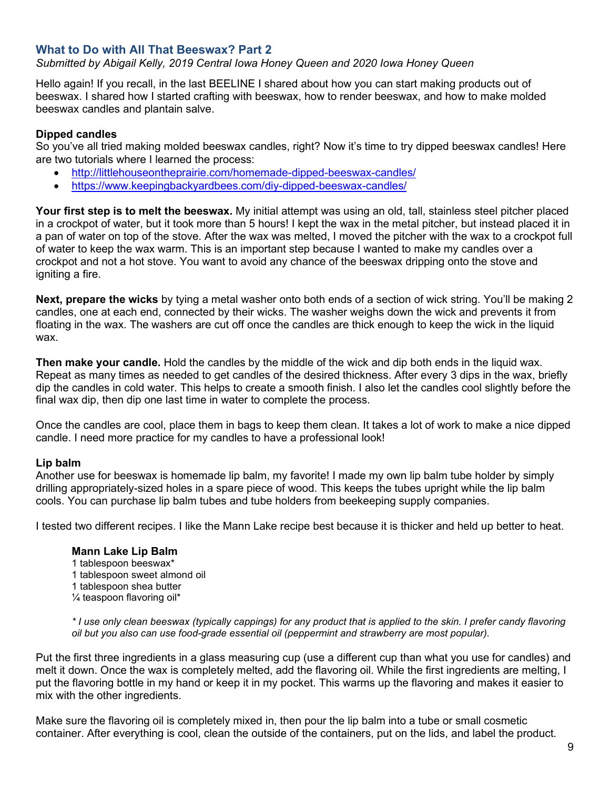#### <span id="page-8-0"></span>**What to Do with All That Beeswax? Part 2**

*Submitted by Abigail Kelly, 2019 Central Iowa Honey Queen and 2020 Iowa Honey Queen* 

Hello again! If you recall, in the last BEELINE I shared about how you can start making products out of beeswax. I shared how I started crafting with beeswax, how to render beeswax, and how to make molded beeswax candles and plantain salve.

#### **Dipped candles**

So you've all tried making molded beeswax candles, right? Now it's time to try dipped beeswax candles! Here are two tutorials where I learned the process:

- http://littlehouseontheprairie.com/homemade-dipped-beeswax-candles/
- https://www.keepingbackyardbees.com/diy-dipped-beeswax-candles/

**Your first step is to melt the beeswax.** My initial attempt was using an old, tall, stainless steel pitcher placed in a crockpot of water, but it took more than 5 hours! I kept the wax in the metal pitcher, but instead placed it in a pan of water on top of the stove. After the wax was melted, I moved the pitcher with the wax to a crockpot full of water to keep the wax warm. This is an important step because I wanted to make my candles over a crockpot and not a hot stove. You want to avoid any chance of the beeswax dripping onto the stove and igniting a fire.

**Next, prepare the wicks** by tying a metal washer onto both ends of a section of wick string. You'll be making 2 candles, one at each end, connected by their wicks. The washer weighs down the wick and prevents it from floating in the wax. The washers are cut off once the candles are thick enough to keep the wick in the liquid wax.

**Then make your candle.** Hold the candles by the middle of the wick and dip both ends in the liquid wax. Repeat as many times as needed to get candles of the desired thickness. After every 3 dips in the wax, briefly dip the candles in cold water. This helps to create a smooth finish. I also let the candles cool slightly before the final wax dip, then dip one last time in water to complete the process.

Once the candles are cool, place them in bags to keep them clean. It takes a lot of work to make a nice dipped candle. I need more practice for my candles to have a professional look!

#### **Lip balm**

Another use for beeswax is homemade lip balm, my favorite! I made my own lip balm tube holder by simply drilling appropriately-sized holes in a spare piece of wood. This keeps the tubes upright while the lip balm cools. You can purchase lip balm tubes and tube holders from beekeeping supply companies.

I tested two different recipes. I like the Mann Lake recipe best because it is thicker and held up better to heat.

#### **Mann Lake Lip Balm**

- 1 tablespoon beeswax\*
- 1 tablespoon sweet almond oil
- 1 tablespoon shea butter
- $\frac{1}{4}$  teaspoon flavoring oil\*

*\* I use only clean beeswax (typically cappings) for any product that is applied to the skin. I prefer candy flavoring oil but you also can use food-grade essential oil (peppermint and strawberry are most popular).* 

Put the first three ingredients in a glass measuring cup (use a different cup than what you use for candles) and melt it down. Once the wax is completely melted, add the flavoring oil. While the first ingredients are melting, I put the flavoring bottle in my hand or keep it in my pocket. This warms up the flavoring and makes it easier to mix with the other ingredients.

Make sure the flavoring oil is completely mixed in, then pour the lip balm into a tube or small cosmetic container. After everything is cool, clean the outside of the containers, put on the lids, and label the product.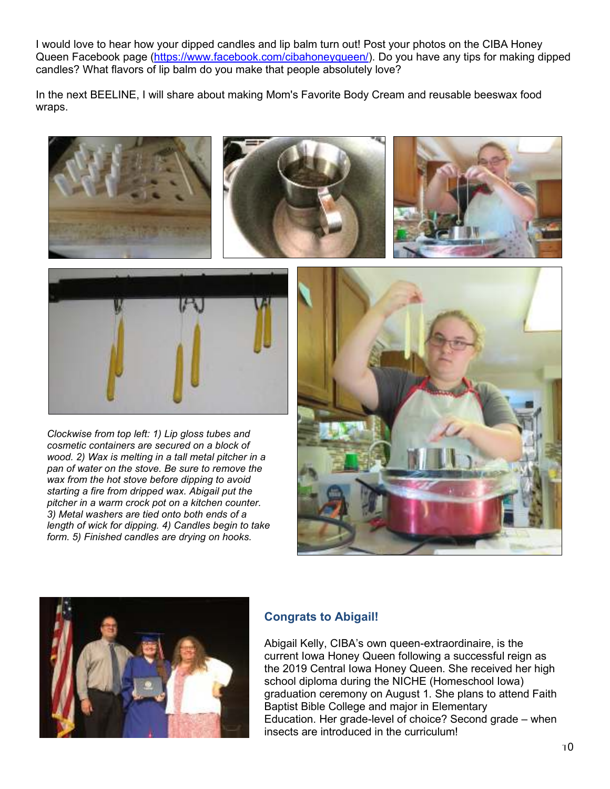I would love to hear how your dipped candles and lip balm turn out! Post your photos on the CIBA Honey Queen Facebook page (https://www.facebook.com/cibahoneyqueen/). Do you have any tips for making dipped candles? What flavors of lip balm do you make that people absolutely love?

In the next BEELINE, I will share about making Mom's Favorite Body Cream and reusable beeswax food wraps.



#### **Congrats to Abigail!**

Abigail Kelly, CIBA's own queen-extraordinaire, is the current Iowa Honey Queen following a successful reign as the 2019 Central Iowa Honey Queen. She received her high school diploma during the NICHE (Homeschool Iowa) graduation ceremony on August 1. She plans to attend Faith Baptist Bible College and major in Elementary Education. Her grade-level of choice? Second grade – when insects are introduced in the curriculum!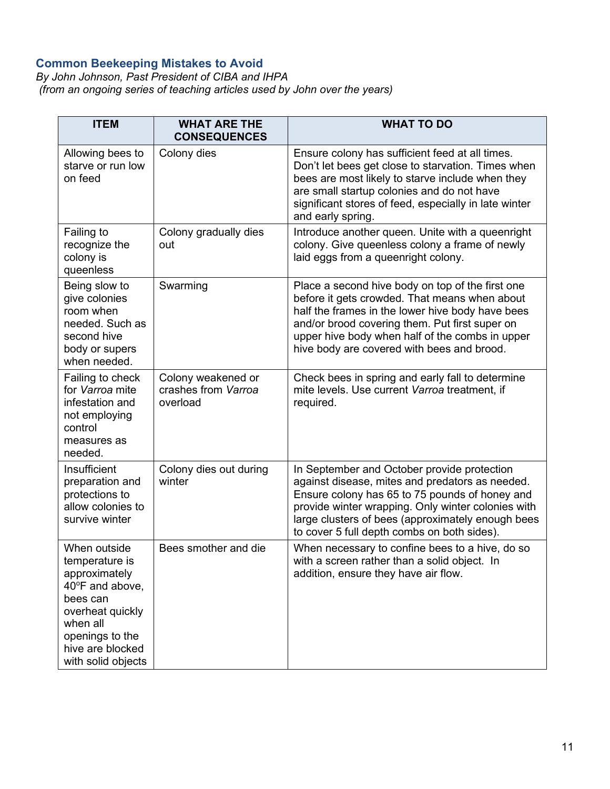#### <span id="page-10-0"></span>**Common Beekeeping Mistakes to Avoid**

*By John Johnson, Past President of CIBA and IHPA (from an ongoing series of teaching articles used by John over the years)* 

| <b>ITEM</b>                                                                                                                                                                 | <b>WHAT ARE THE</b><br><b>CONSEQUENCES</b>            | <b>WHAT TO DO</b>                                                                                                                                                                                                                                                                                          |
|-----------------------------------------------------------------------------------------------------------------------------------------------------------------------------|-------------------------------------------------------|------------------------------------------------------------------------------------------------------------------------------------------------------------------------------------------------------------------------------------------------------------------------------------------------------------|
| Allowing bees to<br>starve or run low<br>on feed                                                                                                                            | Colony dies                                           | Ensure colony has sufficient feed at all times.<br>Don't let bees get close to starvation. Times when<br>bees are most likely to starve include when they<br>are small startup colonies and do not have<br>significant stores of feed, especially in late winter<br>and early spring.                      |
| Failing to<br>recognize the<br>colony is<br>queenless                                                                                                                       | Colony gradually dies<br>out                          | Introduce another queen. Unite with a queenright<br>colony. Give queenless colony a frame of newly<br>laid eggs from a queenright colony.                                                                                                                                                                  |
| Being slow to<br>give colonies<br>room when<br>needed. Such as<br>second hive<br>body or supers<br>when needed.                                                             | Swarming                                              | Place a second hive body on top of the first one<br>before it gets crowded. That means when about<br>half the frames in the lower hive body have bees<br>and/or brood covering them. Put first super on<br>upper hive body when half of the combs in upper<br>hive body are covered with bees and brood.   |
| Failing to check<br>for Varroa mite<br>infestation and<br>not employing<br>control<br>measures as<br>needed.                                                                | Colony weakened or<br>crashes from Varroa<br>overload | Check bees in spring and early fall to determine<br>mite levels. Use current Varroa treatment, if<br>required.                                                                                                                                                                                             |
| Insufficient<br>preparation and<br>protections to<br>allow colonies to<br>survive winter                                                                                    | Colony dies out during<br>winter                      | In September and October provide protection<br>against disease, mites and predators as needed.<br>Ensure colony has 65 to 75 pounds of honey and<br>provide winter wrapping. Only winter colonies with<br>large clusters of bees (approximately enough bees<br>to cover 5 full depth combs on both sides). |
| When outside<br>temperature is<br>approximately<br>40°F and above,<br>bees can<br>overheat quickly<br>when all<br>openings to the<br>hive are blocked<br>with solid objects | Bees smother and die                                  | When necessary to confine bees to a hive, do so<br>with a screen rather than a solid object. In<br>addition, ensure they have air flow.                                                                                                                                                                    |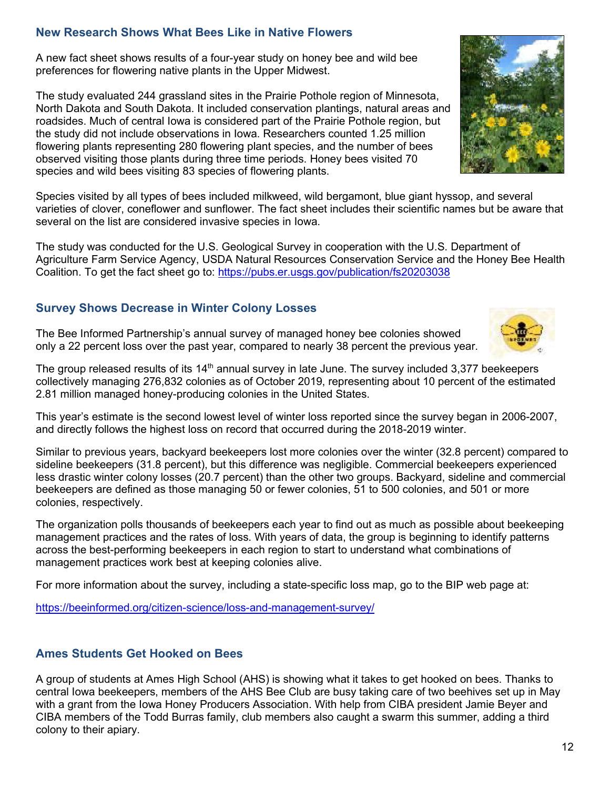#### <span id="page-11-0"></span>**New Research Shows What Bees Like in Native Flowers**

A new fact sheet shows results of a four-year study on honey bee and wild bee preferences for flowering native plants in the Upper Midwest.

The study evaluated 244 grassland sites in the Prairie Pothole region of Minnesota, North Dakota and South Dakota. It included conservation plantings, natural areas and roadsides. Much of central Iowa is considered part of the Prairie Pothole region, but the study did not include observations in Iowa. Researchers counted 1.25 million flowering plants representing 280 flowering plant species, and the number of bees observed visiting those plants during three time periods. Honey bees visited 70 species and wild bees visiting 83 species of flowering plants.

Species visited by all types of bees included milkweed, wild bergamont, blue giant hyssop, and several varieties of clover, coneflower and sunflower. The fact sheet includes their scientific names but be aware that several on the list are considered invasive species in Iowa.

The study was conducted for the U.S. Geological Survey in cooperation with the U.S. Department of Agriculture Farm Service Agency, USDA Natural Resources Conservation Service and the Honey Bee Health Coalition. To get the fact sheet go to: https://pubs.er.usgs.gov/publication/fs20203038

#### <span id="page-11-1"></span>**Survey Shows Decrease in Winter Colony Losses**

The Bee Informed Partnership's annual survey of managed honey bee colonies showed only a 22 percent loss over the past year, compared to nearly 38 percent the previous year.

The group released results of its  $14<sup>th</sup>$  annual survey in late June. The survey included 3,377 beekeepers collectively managing 276,832 colonies as of October 2019, representing about 10 percent of the estimated 2.81 million managed honey-producing colonies in the United States.

This year's estimate is the second lowest level of winter loss reported since the survey began in 2006-2007, and directly follows the highest loss on record that occurred during the 2018-2019 winter.

Similar to previous years, backyard beekeepers lost more colonies over the winter (32.8 percent) compared to sideline beekeepers (31.8 percent), but this difference was negligible. Commercial beekeepers experienced less drastic winter colony losses (20.7 percent) than the other two groups. Backyard, sideline and commercial beekeepers are defined as those managing 50 or fewer colonies, 51 to 500 colonies, and 501 or more colonies, respectively.

The organization polls thousands of beekeepers each year to find out as much as possible about beekeeping management practices and the rates of loss. With years of data, the group is beginning to identify patterns across the best-performing beekeepers in each region to start to understand what combinations of management practices work best at keeping colonies alive.

For more information about the survey, including a state-specific loss map, go to the BIP web page at:

https://beeinformed.org/citizen-science/loss-and-management-survey/

#### <span id="page-11-2"></span>**Ames Students Get Hooked on Bees**

A group of students at Ames High School (AHS) is showing what it takes to get hooked on bees. Thanks to central Iowa beekeepers, members of the AHS Bee Club are busy taking care of two beehives set up in May with a grant from the Iowa Honey Producers Association. With help from CIBA president Jamie Beyer and CIBA members of the Todd Burras family, club members also caught a swarm this summer, adding a third colony to their apiary.



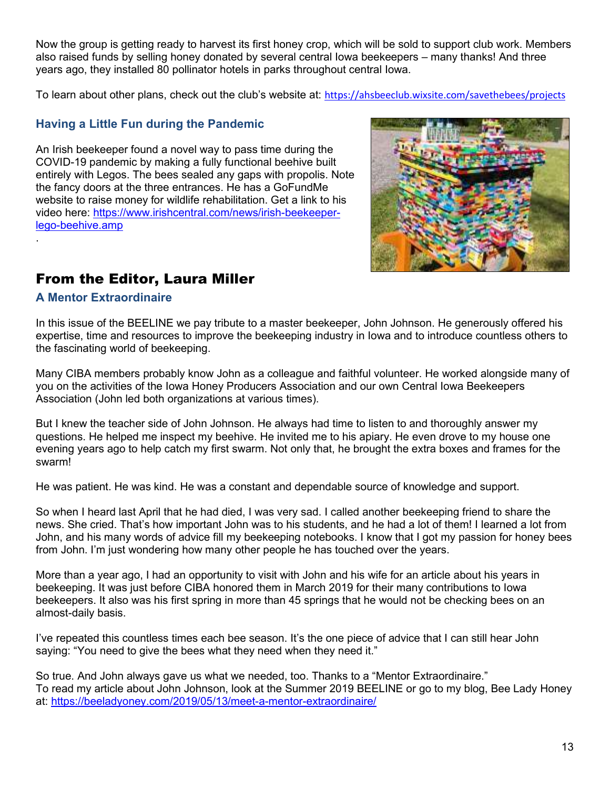Now the group is getting ready to harvest its first honey crop, which will be sold to support club work. Members also raised funds by selling honey donated by several central Iowa beekeepers – many thanks! And three years ago, they installed 80 pollinator hotels in parks throughout central Iowa.

To learn about other plans, check out the club's website at: https://ahsbeeclub.wixsite.com/savethebees/projects

#### <span id="page-12-0"></span>**Having a Little Fun during the Pandemic**

An Irish beekeeper found a novel way to pass time during the COVID-19 pandemic by making a fully functional beehive built entirely with Legos. The bees sealed any gaps with propolis. Note the fancy doors at the three entrances. He has a GoFundMe website to raise money for wildlife rehabilitation. Get a link to his video here: https://www.irishcentral.com/news/irish-beekeeperlego-beehive.amp



# <span id="page-12-1"></span>From the Editor, Laura Miller

#### <span id="page-12-2"></span>**A Mentor Extraordinaire**

.

In this issue of the BEELINE we pay tribute to a master beekeeper, John Johnson. He generously offered his expertise, time and resources to improve the beekeeping industry in Iowa and to introduce countless others to the fascinating world of beekeeping.

Many CIBA members probably know John as a colleague and faithful volunteer. He worked alongside many of you on the activities of the Iowa Honey Producers Association and our own Central Iowa Beekeepers Association (John led both organizations at various times).

But I knew the teacher side of John Johnson. He always had time to listen to and thoroughly answer my questions. He helped me inspect my beehive. He invited me to his apiary. He even drove to my house one evening years ago to help catch my first swarm. Not only that, he brought the extra boxes and frames for the swarm!

He was patient. He was kind. He was a constant and dependable source of knowledge and support.

So when I heard last April that he had died, I was very sad. I called another beekeeping friend to share the news. She cried. That's how important John was to his students, and he had a lot of them! I learned a lot from John, and his many words of advice fill my beekeeping notebooks. I know that I got my passion for honey bees from John. I'm just wondering how many other people he has touched over the years.

More than a year ago, I had an opportunity to visit with John and his wife for an article about his years in beekeeping. It was just before CIBA honored them in March 2019 for their many contributions to Iowa beekeepers. It also was his first spring in more than 45 springs that he would not be checking bees on an almost-daily basis.

I've repeated this countless times each bee season. It's the one piece of advice that I can still hear John saying: "You need to give the bees what they need when they need it."

So true. And John always gave us what we needed, too. Thanks to a "Mentor Extraordinaire." To read my article about John Johnson, look at the Summer 2019 BEELINE or go to my blog, Bee Lady Honey at: https://beeladyoney.com/2019/05/13/meet-a-mentor-extraordinaire/